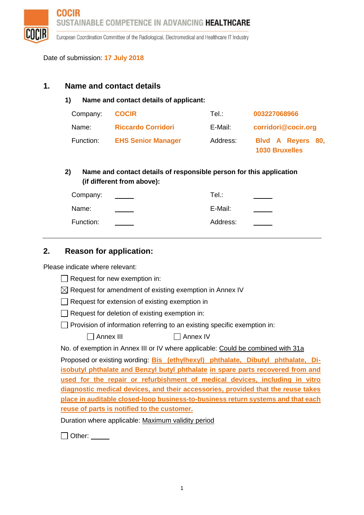**COCIR** SUSTAINABLE COMPETENCE IN ADVANCING HEALTHCARE

European Coordination Committee of the Radiological, Electromedical and Healthcare IT Industry

Date of submission: **17 July 2018**

#### **1. Name and contact details**

**1) Name and contact details of applicant:**

| Company:  | <b>COCIR</b>              | Tel∴     | 003227068966                               |
|-----------|---------------------------|----------|--------------------------------------------|
| Name:     | <b>Riccardo Corridori</b> | E-Mail:  | corridori@cocir.org                        |
| Function: | <b>EHS Senior Manager</b> | Address: | Blvd A Reyers 80,<br><b>1030 Bruxelles</b> |

#### **2) Name and contact details of responsible person for this application (if different from above):**

| Company:  | Tel.∶    |  |
|-----------|----------|--|
| Name:     | E-Mail:  |  |
| Function: | Address: |  |

### **2. Reason for application:**

Please indicate where relevant:

- $\Box$  Request for new exemption in:
- $\boxtimes$  Request for amendment of existing exemption in Annex IV
- Request for extension of existing exemption in
- $\Box$  Request for deletion of existing exemption in:
- $\Box$  Provision of information referring to an existing specific exemption in:

| Annex III | $\Box$ Annex IV |
|-----------|-----------------|
|-----------|-----------------|

No. of exemption in Annex III or IV where applicable: Could be combined with 31a

Proposed or existing wording: **Bis (ethylhexyl) phthalate, Dibutyl phthalate, Diisobutyl phthalate and Benzyl butyl phthalate in spare parts recovered from and used for the repair or refurbishment of medical devices, including in vitro diagnostic medical devices, and their accessories, provided that the reuse takes place in auditable closed-loop business-to-business return systems and that each reuse of parts is notified to the customer.**

Duration where applicable: Maximum validity period

□ Other: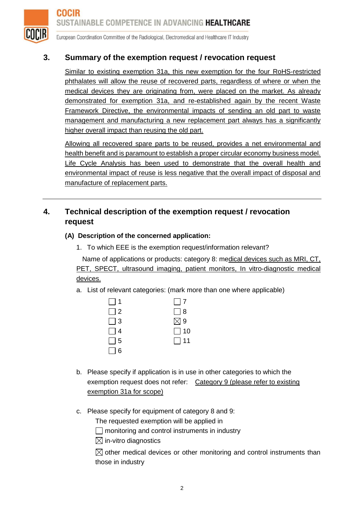

# **3. Summary of the exemption request / revocation request**

Similar to existing exemption 31a, this new exemption for the four RoHS-restricted phthalates will allow the reuse of recovered parts, regardless of where or when the medical devices they are originating from, were placed on the market. As already demonstrated for exemption 31a, and re-established again by the recent Waste Framework Directive, the environmental impacts of sending an old part to waste management and manufacturing a new replacement part always has a significantly higher overall impact than reusing the old part.

Allowing all recovered spare parts to be reused, provides a net environmental and health benefit and is paramount to establish a proper circular economy business model. Life Cycle Analysis has been used to demonstrate that the overall health and environmental impact of reuse is less negative that the overall impact of disposal and manufacture of replacement parts.

# **4. Technical description of the exemption request / revocation request**

#### **(A) Description of the concerned application:**

1. To which EEE is the exemption request/information relevant?

Name of applications or products: category 8: medical devices such as MRI, CT, PET, SPECT, ultrasound imaging, patient monitors, In vitro-diagnostic medical devices.

a. List of relevant categories: (mark more than one where applicable)

| $\Box$ 1 | $\Box$ 7      |
|----------|---------------|
| $\Box$ 2 | $\Box$ 8      |
| $\Box$ 3 | $\boxtimes$ 9 |
| $\Box$ 4 | $\Box$ 10     |
| $\Box$ 5 | $\Box$ 11     |
| $\Box$ 6 |               |

- b. Please specify if application is in use in other categories to which the exemption request does not refer: Category 9 (please refer to existing exemption 31a for scope)
- c. Please specify for equipment of category 8 and 9:

The requested exemption will be applied in

 $\Box$  monitoring and control instruments in industry

 $\boxtimes$  in-vitro diagnostics

 $\boxtimes$  other medical devices or other monitoring and control instruments than those in industry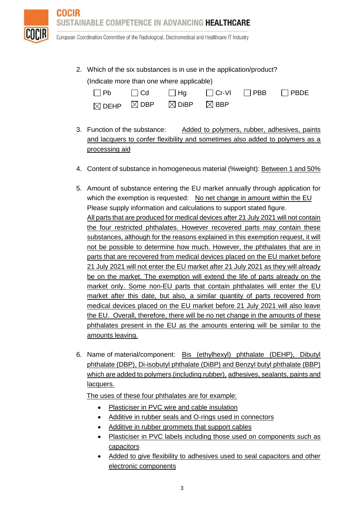TAINABLE COMPETENCE IN ADVANCING **HEALTHCARE** 



COCIR

European Coordination Committee of the Radiological, Electromedical and Healthcare IT Industry

2. Which of the six substances is in use in the application/product? (Indicate more than one where applicable)

| $\Box$ Pb | $\Box$ Cd $\Box$ Hg $\Box$ Cr-VI $\Box$ PBB $\Box$ PBDE           |  |  |
|-----------|-------------------------------------------------------------------|--|--|
|           | $\boxtimes$ DEHP $\boxtimes$ DBP $\boxtimes$ DiBP $\boxtimes$ BBP |  |  |

- 3. Function of the substance: Added to polymers, rubber, adhesives, paints and lacquers to confer flexibility and sometimes also added to polymers as a processing aid
- 4. Content of substance in homogeneous material (%weight): Between 1 and 50%
- 5. Amount of substance entering the EU market annually through application for which the exemption is requested: No net change in amount within the EU Please supply information and calculations to support stated figure. All parts that are produced for medical devices after 21 July 2021 will not contain the four restricted phthalates. However recovered parts may contain these substances, although for the reasons explained in this exemption request, it will not be possible to determine how much. However, the phthalates that are in parts that are recovered from medical devices placed on the EU market before 21 July 2021 will not enter the EU market after 21 July 2021 as they will already be on the market. The exemption will extend the life of parts already on the market only. Some non-EU parts that contain phthalates will enter the EU market after this date, but also, a similar quantity of parts recovered from medical devices placed on the EU market before 21 July 2021 will also leave the EU. Overall, therefore, there will be no net change in the amounts of these phthalates present in the EU as the amounts entering will be similar to the amounts leaving.
- 6. Name of material/component: Bis (ethylhexyl) phthalate (DEHP), Dibutyl phthalate (DBP), Di-isobutyl phthalate (DiBP) and Benzyl butyl phthalate (BBP) which are added to polymers (including rubber), adhesives, sealants, paints and lacquers.

The uses of these four phthalates are for example:

- Plasticiser in PVC wire and cable insulation
- Additive in rubber seals and O-rings used in connectors
- Additive in rubber grommets that support cables
- Plasticiser in PVC labels including those used on components such as capacitors
- Added to give flexibility to adhesives used to seal capacitors and other electronic components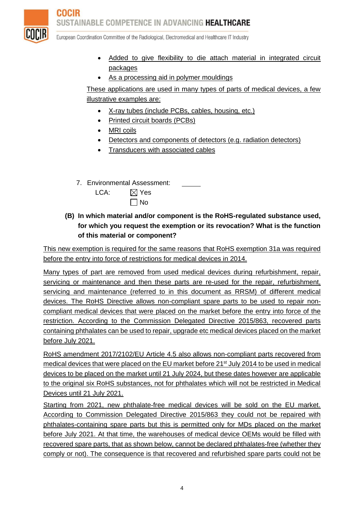**COCIR** SUSTAINABLE COMPETENCE IN ADVANCING **HEALTHCARE** 



European Coordination Committee of the Radiological, Electromedical and Healthcare IT Industry

- Added to give flexibility to die attach material in integrated circuit packages
- As a processing aid in polymer mouldings

These applications are used in many types of parts of medical devices, a few illustrative examples are:

- X-ray tubes (include PCBs, cables, housing, etc.)
- Printed circuit boards (PCBs)
- MRI coils
- Detectors and components of detectors (e.g. radiation detectors)
- **Transducers with associated cables**
- 7. Environmental Assessment:

| LCA: | $\boxtimes$ Yes |
|------|-----------------|
|      |                 |

 $\Box$  No

### **(B) In which material and/or component is the RoHS-regulated substance used, for which you request the exemption or its revocation? What is the function of this material or component?**

This new exemption is required for the same reasons that RoHS exemption 31a was required before the entry into force of restrictions for medical devices in 2014.

Many types of part are removed from used medical devices during refurbishment, repair, servicing or maintenance and then these parts are re-used for the repair, refurbishment, servicing and maintenance (referred to in this document as RRSM) of different medical devices. The RoHS Directive allows non-compliant spare parts to be used to repair noncompliant medical devices that were placed on the market before the entry into force of the restriction. According to the Commission Delegated Directive 2015/863, recovered parts containing phthalates can be used to repair, upgrade etc medical devices placed on the market before July 2021.

RoHS amendment 2017/2102/EU Article 4.5 also allows non-compliant parts recovered from medical devices that were placed on the EU market before 21<sup>st</sup> July 2014 to be used in medical devices to be placed on the market until 21 July 2024, but these dates however are applicable to the original six RoHS substances, not for phthalates which will not be restricted in Medical Devices until 21 July 2021.

Starting from 2021, new phthalate-free medical devices will be sold on the EU market. According to Commission Delegated Directive 2015/863 they could not be repaired with phthalates-containing spare parts but this is permitted only for MDs placed on the market before July 2021. At that time, the warehouses of medical device OEMs would be filled with recovered spare parts, that as shown below, cannot be declared phthalates-free (whether they comply or not). The consequence is that recovered and refurbished spare parts could not be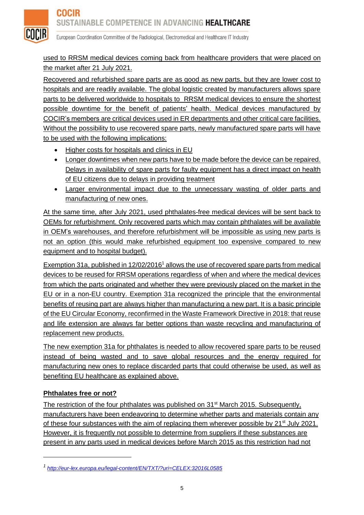COCIR

European Coordination Committee of the Radiological, Electromedical and Healthcare IT Industry

### used to RRSM medical devices coming back from healthcare providers that were placed on the market after 21 July 2021.

Recovered and refurbished spare parts are as good as new parts, but they are lower cost to hospitals and are readily available. The global logistic created by manufacturers allows spare parts to be delivered worldwide to hospitals to RRSM medical devices to ensure the shortest possible downtime for the benefit of patients' health. Medical devices manufactured by COCIR's members are critical devices used in ER departments and other critical care facilities. Without the possibility to use recovered spare parts, newly manufactured spare parts will have to be used with the following implications:

- Higher costs for hospitals and clinics in EU
- Longer downtimes when new parts have to be made before the device can be repaired. Delays in availability of spare parts for faulty equipment has a direct impact on health of EU citizens due to delays in providing treatment
- Larger environmental impact due to the unnecessary wasting of older parts and manufacturing of new ones.

At the same time, after July 2021, used phthalates-free medical devices will be sent back to OEMs for refurbishment. Only recovered parts which may contain phthalates will be available in OEM's warehouses, and therefore refurbishment will be impossible as using new parts is not an option (this would make refurbished equipment too expensive compared to new equipment and to hospital budget).

Exemption 31a, published in 12/02/2016<sup>1</sup> allows the use of recovered spare parts from medical devices to be reused for RRSM operations regardless of when and where the medical devices from which the parts originated and whether they were previously placed on the market in the EU or in a non-EU country. Exemption 31a recognized the principle that the environmental benefits of reusing part are always higher than manufacturing a new part. It is a basic principle of the EU Circular Economy, reconfirmed in the Waste Framework Directive in 2018: that reuse and life extension are always far better options than waste recycling and manufacturing of replacement new products.

The new exemption 31a for phthalates is needed to allow recovered spare parts to be reused instead of being wasted and to save global resources and the energy required for manufacturing new ones to replace discarded parts that could otherwise be used, as well as benefiting EU healthcare as explained above.

### **Phthalates free or not?**

The restriction of the four phthalates was published on 31<sup>st</sup> March 2015. Subsequently, manufacturers have been endeavoring to determine whether parts and materials contain any of these four substances with the aim of replacing them wherever possible by 21<sup>st</sup> July 2021. However, it is frequently not possible to determine from suppliers if these substances are present in any parts used in medical devices before March 2015 as this restriction had not

*<sup>1</sup> <http://eur-lex.europa.eu/legal-content/EN/TXT/?uri=CELEX:32016L0585>*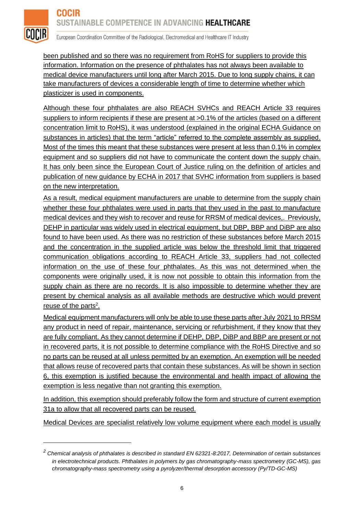

 $\overline{a}$ 

European Coordination Committee of the Radiological, Electromedical and Healthcare IT Industry

been published and so there was no requirement from RoHS for suppliers to provide this information. Information on the presence of phthalates has not always been available to medical device manufacturers until long after March 2015. Due to long supply chains, it can take manufacturers of devices a considerable length of time to determine whether which plasticizer is used in components.

Although these four phthalates are also REACH SVHCs and REACH Article 33 requires suppliers to inform recipients if these are present at >0.1% of the articles (based on a different concentration limit to RoHS), it was understood (explained in the original ECHA Guidance on substances in articles) that the term "article" referred to the complete assembly as supplied. Most of the times this meant that these substances were present at less than 0.1% in complex equipment and so suppliers did not have to communicate the content down the supply chain. It has only been since the European Court of Justice ruling on the definition of articles and publication of new guidance by ECHA in 2017 that SVHC information from suppliers is based on the new interpretation.

As a result, medical equipment manufacturers are unable to determine from the supply chain whether these four phthalates were used in parts that they used in the past to manufacture medical devices and they wish to recover and reuse for RRSM of medical devices,. Previously, DEHP in particular was widely used in electrical equipment, but DBP, BBP and DiBP are also found to have been used. As there was no restriction of these substances before March 2015 and the concentration in the supplied article was below the threshold limit that triggered communication obligations according to REACH Article 33, suppliers had not collected information on the use of these four phthalates. As this was not determined when the components were originally used, it is now not possible to obtain this information from the supply chain as there are no records. It is also impossible to determine whether they are present by chemical analysis as all available methods are destructive which would prevent reuse of the parts<sup>2</sup>.

Medical equipment manufacturers will only be able to use these parts after July 2021 to RRSM any product in need of repair, maintenance, servicing or refurbishment, if they know that they are fully compliant. As they cannot determine if DEHP, DBP, DiBP and BBP are present or not in recovered parts, it is not possible to determine compliance with the RoHS Directive and so no parts can be reused at all unless permitted by an exemption. An exemption will be needed that allows reuse of recovered parts that contain these substances. As will be shown in section 6, this exemption is justified because the environmental and health impact of allowing the exemption is less negative than not granting this exemption.

In addition, this exemption should preferably follow the form and structure of current exemption 31a to allow that all recovered parts can be reused.

Medical Devices are specialist relatively low volume equipment where each model is usually

*<sup>2</sup> Chemical analysis of phthalates is described in standard EN 62321-8:2017, Determination of certain substances in electrotechnical products. Phthalates in polymers by gas chromatography-mass spectrometry (GC-MS), gas chromatography-mass spectrometry using a pyrolyzer/thermal desorption accessory (Py/TD-GC-MS)*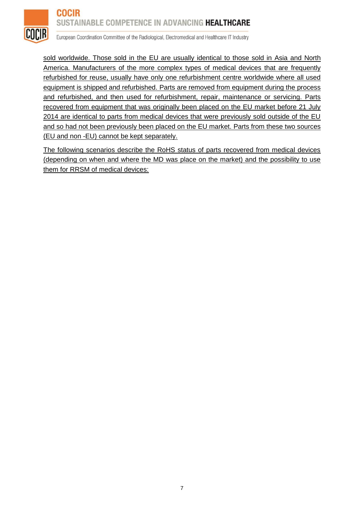#### **COCIR** SUSTAINABLE COMPETENCE IN ADVANCING HEALTHCARE



European Coordination Committee of the Radiological, Electromedical and Healthcare IT Industry

sold worldwide. Those sold in the EU are usually identical to those sold in Asia and North America. Manufacturers of the more complex types of medical devices that are frequently refurbished for reuse, usually have only one refurbishment centre worldwide where all used equipment is shipped and refurbished. Parts are removed from equipment during the process and refurbished, and then used for refurbishment, repair, maintenance or servicing. Parts recovered from equipment that was originally been placed on the EU market before 21 July 2014 are identical to parts from medical devices that were previously sold outside of the EU and so had not been previously been placed on the EU market. Parts from these two sources (EU and non -EU) cannot be kept separately.

The following scenarios describe the RoHS status of parts recovered from medical devices (depending on when and where the MD was place on the market) and the possibility to use them for RRSM of medical devices: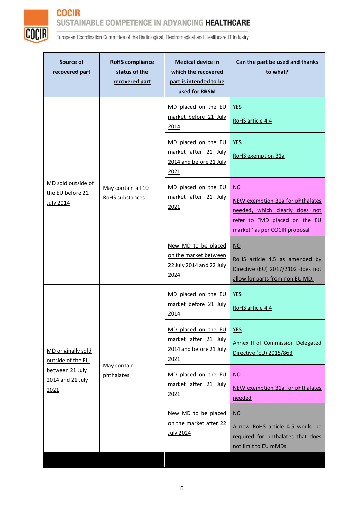



| Source of<br>recovered part                                                            | <b>RoHS</b> compliance<br>status of the<br>recovered part | <b>Medical device in</b><br>which the recovered<br>part is intended to be<br>used for RRSM | Can the part be used and thanks<br>to what?                                                                                                             |
|----------------------------------------------------------------------------------------|-----------------------------------------------------------|--------------------------------------------------------------------------------------------|---------------------------------------------------------------------------------------------------------------------------------------------------------|
| MD sold outside of<br>the EU before 21<br><b>July 2014</b>                             | May contain all 10<br>RoHS substances                     | MD placed on the EU<br>market before 21 July<br>2014                                       | <b>YES</b><br>RoHS article 4.4                                                                                                                          |
|                                                                                        |                                                           | MD placed on the EU<br>market after 21 July<br>2014 and before 21 July<br>2021             | <b>YES</b><br><b>RoHS</b> exemption 31a                                                                                                                 |
|                                                                                        |                                                           | MD placed on the EU<br>market after 21 July<br>2021                                        | $\overline{NO}$<br>NEW exemption 31a for phthalates<br>needed, which clearly does not<br>refer to "MD placed on the EU<br>market" as per COCIR proposal |
|                                                                                        |                                                           | New MD to be placed<br>on the market between<br>22 July 2014 and 22 July<br>2024           | $NO$<br>RoHS article 4.5 as amended by<br>Directive (EU) 2017/2102 does not<br>allow for parts from non EU MD.                                          |
| MD originally sold<br>outside of the EU<br>between 21 July<br>2014 and 21 July<br>2021 | May contain<br>phthalates                                 | MD placed on the EU<br>market before 21 July<br>2014                                       | <b>YES</b><br>RoHS article 4.4                                                                                                                          |
|                                                                                        |                                                           | MD placed on the EU<br>market after 21 July<br>2014 and before 21 July<br>2021             | <u>YES</u><br><b>Annex II of Commission Delegated</b><br>Directive (EU) 2015/863                                                                        |
|                                                                                        |                                                           | MD placed on the EU<br>market after 21 July<br>2021                                        | $\underline{\mathsf{NO}}$<br>NEW exemption 31a for phthalates<br>needed                                                                                 |
|                                                                                        |                                                           | New MD to be placed<br>on the market after 22<br><b>July 2024</b>                          | $\underline{NO}$<br>A new RoHS article 4.5 would be<br>required for phthalates that does<br>not limit to EU mMDs.                                       |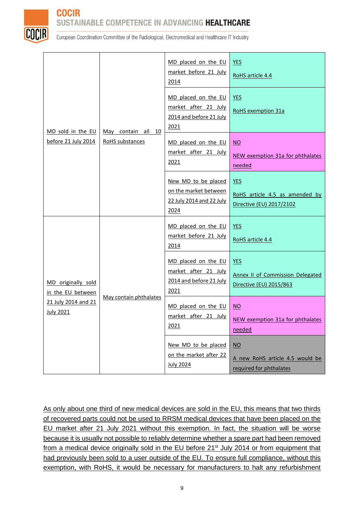

**COCIR** 

# SUSTAINABLE COMPETENCE IN ADVANCING HEALTHCARE

European Coordination Committee of the Radiological, Electromedical and Healthcare IT Industry

| MD sold in the EU<br>before 21 July 2014                                           | May contain all 10<br><b>RoHS</b> substances | MD placed on the EU<br>market before 21 July<br>2014                             | <b>YES</b><br>RoHS article 4.4                                                   |
|------------------------------------------------------------------------------------|----------------------------------------------|----------------------------------------------------------------------------------|----------------------------------------------------------------------------------|
|                                                                                    |                                              | MD placed on the EU<br>market after 21 July<br>2014 and before 21 July<br>2021   | <b>YES</b><br><b>RoHS</b> exemption 31a                                          |
|                                                                                    |                                              | MD placed on the EU<br>market after 21 July<br>2021                              | $\underline{NO}$<br>NEW exemption 31a for phthalates<br>needed                   |
|                                                                                    |                                              | New MD to be placed<br>on the market between<br>22 July 2014 and 22 July<br>2024 | <b>YES</b><br>RoHS article 4.5 as amended by<br>Directive (EU) 2017/2102         |
|                                                                                    |                                              | MD placed on the EU<br>market before 21 July<br>2014                             | <b>YES</b><br>RoHS article 4.4                                                   |
| MD originally sold<br>in the EU between<br>21 July 2014 and 21<br><b>July 2021</b> | May contain phthalates                       | MD placed on the EU<br>market after 21 July<br>2014 and before 21 July<br>2021   | <b>YES</b><br><b>Annex II of Commission Delegated</b><br>Directive (EU) 2015/863 |
|                                                                                    |                                              | MD placed on the EU<br>market after 21 July<br>2021                              | $\overline{NO}$<br>NEW exemption 31a for phthalates<br>needed                    |
|                                                                                    |                                              | New MD to be placed<br>on the market after 22<br><b>July 2024</b>                | $\underline{NO}$<br>A new RoHS article 4.5 would be<br>required for phthalates   |

As only about one third of new medical devices are sold in the EU, this means that two thirds of recovered parts could not be used to RRSM medical devices that have been placed on the EU market after 21 July 2021 without this exemption. In fact, the situation will be worse because it is usually not possible to reliably determine whether a spare part had been removed from a medical device originally sold in the EU before 21<sup>st</sup> July 2014 or from equipment that had previously been sold to a user outside of the EU. To ensure full compliance, without this exemption, with RoHS, it would be necessary for manufacturers to halt any refurbishment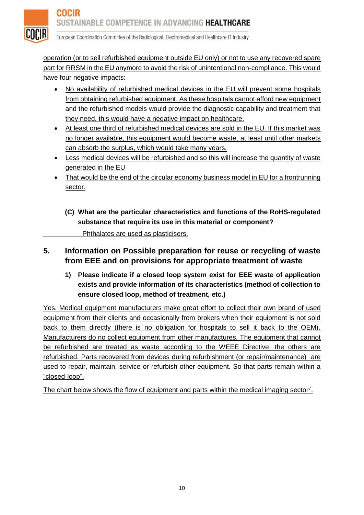

operation (or to sell refurbished equipment outside EU only) or not to use any recovered spare part for RRSM in the EU anymore to avoid the risk of unintentional non-compliance. This would have four negative impacts:

- No availability of refurbished medical devices in the EU will prevent some hospitals from obtaining refurbished equipment. As these hospitals cannot afford new equipment and the refurbished models would provide the diagnostic capability and treatment that they need, this would have a negative impact on healthcare.
- At least one third of refurbished medical devices are sold in the EU. If this market was no longer available, this equipment would become waste, at least until other markets can absorb the surplus, which would take many years.
- Less medical devices will be refurbished and so this will increase the quantity of waste generated in the EU
- That would be the end of the circular economy business model in EU for a frontrunning sector.
	- **(C) What are the particular characteristics and functions of the RoHS-regulated substance that require its use in this material or component?**

Phthalates are used as plasticisers.

# **5. Information on Possible preparation for reuse or recycling of waste from EEE and on provisions for appropriate treatment of waste**

**1) Please indicate if a closed loop system exist for EEE waste of application exists and provide information of its characteristics (method of collection to ensure closed loop, method of treatment, etc.)**

Yes. Medical equipment manufacturers make great effort to collect their own brand of used equipment from their clients and occasionally from brokers when their equipment is not sold back to them directly (there is no obligation for hospitals to sell it back to the OEM). Manufacturers do no collect equipment from other manufactures. The equipment that cannot be refurbished are treated as waste according to the WEEE Directive, the others are refurbished. Parts recovered from devices during refurbishment (or repair/maintenance) are used to repair, maintain, service or refurbish other equipment. So that parts remain within a "closed-loop".

The chart below shows the flow of equipment and parts within the medical imaging sector<sup>[7](#page-17-0)</sup>.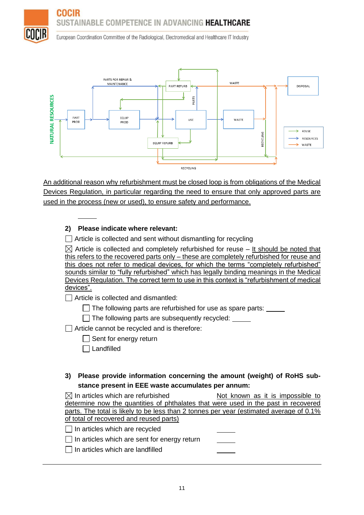



An additional reason why refurbishment must be closed loop is from obligations of the Medical Devices Regulation, in particular regarding the need to ensure that only approved parts are used in the process (new or used), to ensure safety and performance.

#### **2) Please indicate where relevant:**

 $\Box$  Article is collected and sent without dismantling for recycling

 $\boxtimes$  Article is collected and completely refurbished for reuse – It should be noted that this refers to the recovered parts only – these are completely refurbished for reuse and this does not refer to medical devices, for which the terms "completely refurbished" sounds similar to "fully refurbished" which has legally binding meanings in the Medical Devices Regulation. The correct term to use in this context is "refurbishment of medical devices".

Article is collected and dismantled:

 $\Box$  The following parts are refurbished for use as spare parts:  $\Box$ 

 $\Box$  The following parts are subsequently recycled:

 $\Box$  Article cannot be recycled and is therefore:

 $\Box$  Sent for energy return

□ Landfilled

#### **3) Please provide information concerning the amount (weight) of RoHS substance present in EEE waste accumulates per annum:**

| $\boxtimes$ In articles which are refurbished                                            | Not known as it is impossible to |
|------------------------------------------------------------------------------------------|----------------------------------|
| determine now the quantities of phthalates that were used in the past in recovered       |                                  |
| parts. The total is likely to be less than 2 tonnes per year (estimated average of 0.1%) |                                  |
| of total of recovered and reused parts)                                                  |                                  |
| $\lfloor \cdot \rfloor$ In articles which are recycled                                   |                                  |
| $\Box$ In articles which are sent for energy return                                      |                                  |
| In articles which are landfilled                                                         |                                  |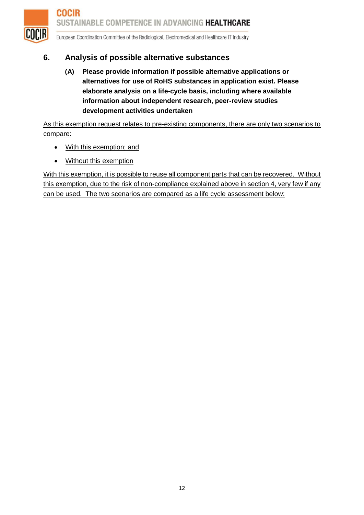

# **6. Analysis of possible alternative substances**

**(A) Please provide information if possible alternative applications or alternatives for use of RoHS substances in application exist. Please elaborate analysis on a life-cycle basis, including where available information about independent research, peer-review studies development activities undertaken**

As this exemption request relates to pre-existing components, there are only two scenarios to compare:

- With this exemption; and
- Without this exemption

With this exemption, it is possible to reuse all component parts that can be recovered. Without this exemption, due to the risk of non-compliance explained above in section 4, very few if any can be used. The two scenarios are compared as a life cycle assessment below: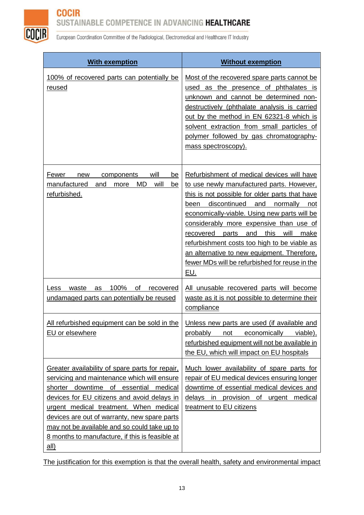# **COCIR** SUSTAINABLE COMPETENCE IN ADVANCING HEALTHCARE



European Coordination Committee of the Radiological, Electromedical and Healthcare IT Industry

| <b>With exemption</b>                                                                                                                                                                                                                                                                                                                                                                              | <b>Without exemption</b>                                                                                                                                                                                                                                                                                                                                                                                                                                                                                  |
|----------------------------------------------------------------------------------------------------------------------------------------------------------------------------------------------------------------------------------------------------------------------------------------------------------------------------------------------------------------------------------------------------|-----------------------------------------------------------------------------------------------------------------------------------------------------------------------------------------------------------------------------------------------------------------------------------------------------------------------------------------------------------------------------------------------------------------------------------------------------------------------------------------------------------|
| 100% of recovered parts can potentially be<br><u>reused</u>                                                                                                                                                                                                                                                                                                                                        | Most of the recovered spare parts cannot be<br>used as the presence of phthalates is<br>unknown and cannot be determined non-<br>destructively (phthalate analysis is carried<br>out by the method in EN 62321-8 which is<br>solvent extraction from small particles of<br>polymer followed by gas chromatography-<br>mass spectroscopy).                                                                                                                                                                 |
| will<br>Fewer<br>new<br>components<br>be<br><b>MD</b><br>will<br>manufactured<br>and<br>more<br>be<br>refurbished.                                                                                                                                                                                                                                                                                 | Refurbishment of medical devices will have<br>to use newly manufactured parts. However,<br>this is not possible for older parts that have<br>discontinued and<br>normally<br>been<br>not –<br>economically-viable. Using new parts will be<br>considerably more expensive than use of<br>this<br>will<br>recovered<br>parts<br>and<br>make<br>refurbishment costs too high to be viable as<br>an alternative to new equipment. Therefore,<br>fewer MDs will be refurbished for reuse in the<br><u>EU.</u> |
| 100%<br>of<br>waste<br>recovered<br>Less<br>as<br>undamaged parts can potentially be reused                                                                                                                                                                                                                                                                                                        | All unusable recovered parts will become<br>waste as it is not possible to determine their<br>compliance                                                                                                                                                                                                                                                                                                                                                                                                  |
| All refurbished equipment can be sold in the<br>EU or elsewhere                                                                                                                                                                                                                                                                                                                                    | Unless new parts are used (if available and<br>probably<br>economically<br>viable),<br>not<br>refurbished equipment will not be available in<br>the EU, which will impact on EU hospitals                                                                                                                                                                                                                                                                                                                 |
| Greater availability of spare parts for repair,<br>servicing and maintenance which will ensure<br>shorter downtime of essential medical<br>devices for EU citizens and avoid delays in<br>urgent medical treatment. When medical<br>devices are out of warranty, new spare parts<br>may not be available and so could take up to<br>8 months to manufacture, if this is feasible at<br><u>all)</u> | Much lower availability of spare parts for<br>repair of EU medical devices ensuring longer<br>downtime of essential medical devices and<br>delays in provision of urgent medical<br>treatment to EU citizens                                                                                                                                                                                                                                                                                              |

The justification for this exemption is that the overall health, safety and environmental impact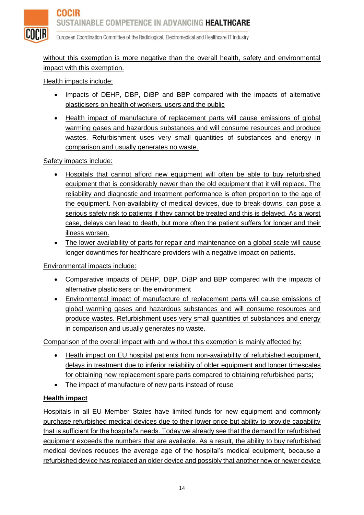

without this exemption is more negative than the overall health, safety and environmental impact with this exemption.

Health impacts include:

- Impacts of DEHP, DBP, DiBP and BBP compared with the impacts of alternative plasticisers on health of workers, users and the public
- Health impact of manufacture of replacement parts will cause emissions of global warming gases and hazardous substances and will consume resources and produce wastes. Refurbishment uses very small quantities of substances and energy in comparison and usually generates no waste.

Safety impacts include:

- Hospitals that cannot afford new equipment will often be able to buy refurbished equipment that is considerably newer than the old equipment that it will replace. The reliability and diagnostic and treatment performance is often proportion to the age of the equipment. Non-availability of medical devices, due to break-downs, can pose a serious safety risk to patients if they cannot be treated and this is delayed. As a worst case, delays can lead to death, but more often the patient suffers for longer and their illness worsen.
- The lower availability of parts for repair and maintenance on a global scale will cause longer downtimes for healthcare providers with a negative impact on patients.

Environmental impacts include:

- Comparative impacts of DEHP, DBP, DiBP and BBP compared with the impacts of alternative plasticisers on the environment
- Environmental impact of manufacture of replacement parts will cause emissions of global warming gases and hazardous substances and will consume resources and produce wastes. Refurbishment uses very small quantities of substances and energy in comparison and usually generates no waste.

Comparison of the overall impact with and without this exemption is mainly affected by:

- Heath impact on EU hospital patients from non-availability of refurbished equipment, delays in treatment due to inferior reliability of older equipment and longer timescales for obtaining new replacement spare parts compared to obtaining refurbished parts;
- The impact of manufacture of new parts instead of reuse

#### **Health impact**

Hospitals in all EU Member States have limited funds for new equipment and commonly purchase refurbished medical devices due to their lower price but ability to provide capability that is sufficient for the hospital's needs. Today we already see that the demand for refurbished equipment exceeds the numbers that are available. As a result, the ability to buy refurbished medical devices reduces the average age of the hospital's medical equipment, because a refurbished device has replaced an older device and possibly that another new or newer device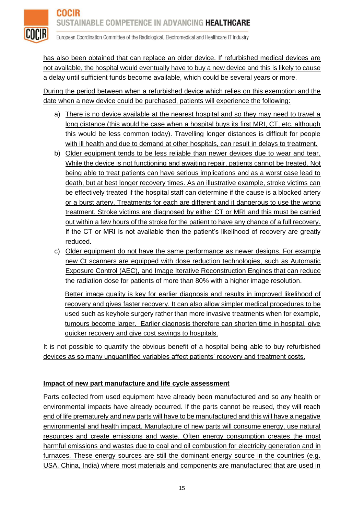

has also been obtained that can replace an older device. If refurbished medical devices are not available, the hospital would eventually have to buy a new device and this is likely to cause a delay until sufficient funds become available, which could be several years or more.

During the period between when a refurbished device which relies on this exemption and the date when a new device could be purchased, patients will experience the following:

- a) There is no device available at the nearest hospital and so they may need to travel a long distance (this would be case when a hospital buys its first MRI, CT, etc. although this would be less common today). Travelling longer distances is difficult for people with ill health and due to demand at other hospitals, can result in delays to treatment.
- b) Older equipment tends to be less reliable than newer devices due to wear and tear. While the device is not functioning and awaiting repair, patients cannot be treated. Not being able to treat patients can have serious implications and as a worst case lead to death, but at best longer recovery times. As an illustrative example, stroke victims can be effectively treated if the hospital staff can determine if the cause is a blocked artery or a burst artery. Treatments for each are different and it dangerous to use the wrong treatment. Stroke victims are diagnosed by either CT or MRI and this must be carried out within a few hours of the stroke for the patient to have any chance of a full recovery. If the CT or MRI is not available then the patient's likelihood of recovery are greatly reduced.
- c) Older equipment do not have the same performance as newer designs. For example new Ct scanners are equipped with dose reduction technologies, such as Automatic Exposure Control (AEC), and Image Iterative Reconstruction Engines that can reduce the radiation dose for patients of more than 80% with a higher image resolution.

Better image quality is key for earlier diagnosis and results in improved likelihood of recovery and gives faster recovery. It can also allow simpler medical procedures to be used such as keyhole surgery rather than more invasive treatments when for example, tumours become larger. Earlier diagnosis therefore can shorten time in hospital, give quicker recovery and give cost savings to hospitals.

It is not possible to quantify the obvious benefit of a hospital being able to buy refurbished devices as so many unquantified variables affect patients' recovery and treatment costs.

### **Impact of new part manufacture and life cycle assessment**

Parts collected from used equipment have already been manufactured and so any health or environmental impacts have already occurred. If the parts cannot be reused, they will reach end of life prematurely and new parts will have to be manufactured and this will have a negative environmental and health impact. Manufacture of new parts will consume energy, use natural resources and create emissions and waste. Often energy consumption creates the most harmful emissions and wastes due to coal and oil combustion for electricity generation and in furnaces. These energy sources are still the dominant energy source in the countries (e.g. USA, China, India) where most materials and components are manufactured that are used in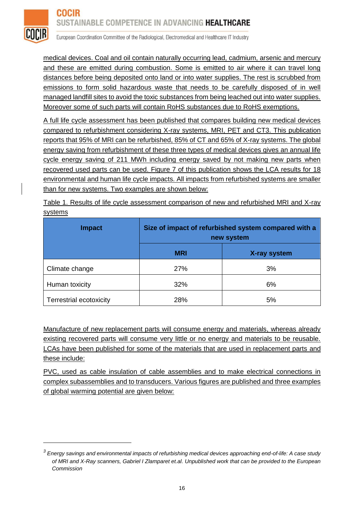

 $\overline{a}$ 

European Coordination Committee of the Radiological, Electromedical and Healthcare IT Industry

medical devices. Coal and oil contain naturally occurring lead, cadmium, arsenic and mercury and these are emitted during combustion. Some is emitted to air where it can travel long distances before being deposited onto land or into water supplies. The rest is scrubbed from emissions to form solid hazardous waste that needs to be carefully disposed of in well managed landfill sites to avoid the toxic substances from being leached out into water supplies. Moreover some of such parts will contain RoHS substances due to RoHS exemptions.

A full life cycle assessment has been published that compares building new medical devices compared to refurbishment considering X-ray systems, MRI, PET and CT3. This publication reports that 95% of MRI can be refurbished, 85% of CT and 65% of X-ray systems. The global energy saving from refurbishment of these three types of medical devices gives an annual life cycle energy saving of 211 MWh including energy saved by not making new parts when recovered used parts can be used. Figure 7 of this publication shows the LCA results for 18 environmental and human life cycle impacts. All impacts from refurbished systems are smaller than for new systems. Two examples are shown below:

Table 1. Results of life cycle assessment comparison of new and refurbished MRI and X-ray systems

| <b>Impact</b>                  | Size of impact of refurbished system compared with a<br>new system |              |
|--------------------------------|--------------------------------------------------------------------|--------------|
|                                | <b>MRI</b>                                                         | X-ray system |
| Climate change                 | 27%                                                                | 3%           |
| Human toxicity                 | 32%                                                                | 6%           |
| <b>Terrestrial ecotoxicity</b> | 28%                                                                | 5%           |

Manufacture of new replacement parts will consume energy and materials, whereas already existing recovered parts will consume very little or no energy and materials to be reusable. LCAs have been published for some of the materials that are used in replacement parts and these include:

PVC, used as cable insulation of cable assemblies and to make electrical connections in complex subassemblies and to transducers. Various figures are published and three examples of global warming potential are given below:

*<sup>3</sup> Energy savings and environmental impacts of refurbishing medical devices approaching end-of-life: A case study of MRI and X-Ray scanners, Gabriel I Zlamparet et.al. Unpublished work that can be provided to the European Commission*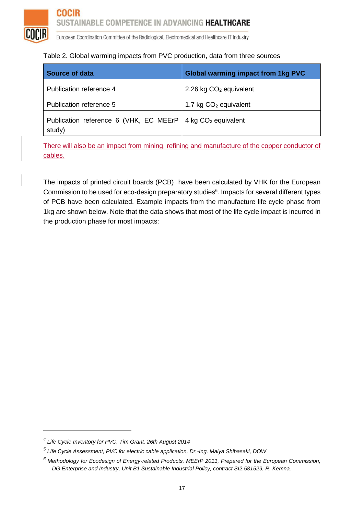#### Table 2. Global warming impacts from PVC production, data from three sources

| Source of data                                   | <b>Global warming impact from 1kg PVC</b> |
|--------------------------------------------------|-------------------------------------------|
| Publication reference 4                          | 2.26 kg $CO2$ equivalent                  |
| Publication reference 5                          | 1.7 kg $CO2$ equivalent                   |
| Publication reference 6 (VHK, EC MEErP<br>study) | 4 kg $CO2$ equivalent                     |

There will also be an impact from mining, refining and manufacture of the copper conductor of cables.

<span id="page-16-0"></span>The impacts of printed circuit boards (PCB) -have been calculated by VHK for the European Commission to be used for eco-design preparatory studies $^6$ . Impacts for several different types of PCB have been calculated. Example impacts from the manufacture life cycle phase from 1kg are shown below. Note that the data shows that most of the life cycle impact is incurred in the production phase for most impacts:

*<sup>4</sup> Life Cycle Inventory for PVC, Tim Grant, 26th August 2014*

*<sup>5</sup> Life Cycle Assessment, PVC for electric cable application, Dr.-Ing. Maiya Shibasaki, DOW*

*<sup>6</sup> Methodology for Ecodesign of Energy*‐*related Products, MEErP 2011, Prepared for the European Commission,*  DG Enterprise and Industry, Unit B1 Sustainable Industrial Policy, contract SI2.581529, R. Kemna.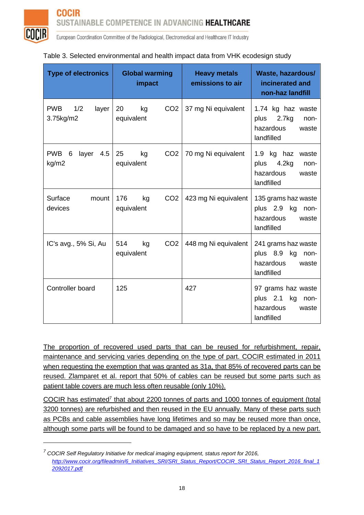

 $\overline{a}$ 

European Coordination Committee of the Radiological, Electromedical and Healthcare IT Industry

| <b>Type of electronics</b>               | <b>Global warming</b><br>impact            | <b>Heavy metals</b><br>emissions to air | Waste, hazardous/<br>incinerated and<br>non-haz landfill                         |
|------------------------------------------|--------------------------------------------|-----------------------------------------|----------------------------------------------------------------------------------|
| <b>PWB</b><br>1/2<br>layer<br>3.75kg/m2  | 20<br>CO <sub>2</sub><br>kg<br>equivalent  | 37 mg Ni equivalent                     | 1.74 kg haz waste<br>2.7kg<br>plus<br>non-<br>hazardous<br>waste<br>landfilled   |
| <b>PWB</b><br>6<br>layer<br>4.5<br>kg/m2 | 25<br>CO <sub>2</sub><br>kg<br>equivalent  | 70 mg Ni equivalent                     | 1.9 kg haz<br>waste<br>plus<br>4.2kg<br>non-<br>hazardous<br>waste<br>landfilled |
| Surface<br>mount<br>devices              | 176<br>CO <sub>2</sub><br>kg<br>equivalent | 423 mg Ni equivalent                    | 135 grams haz waste<br>plus 2.9 kg<br>non-<br>hazardous<br>waste<br>landfilled   |
| IC's avg., 5% Si, Au                     | 514<br>CO <sub>2</sub><br>kg<br>equivalent | 448 mg Ni equivalent                    | 241 grams haz waste<br>plus 8.9 kg<br>-non-<br>hazardous<br>waste<br>landfilled  |
| Controller board                         | 125                                        | 427                                     | 97 grams haz waste<br>plus 2.1<br>kg<br>non-<br>hazardous<br>waste<br>landfilled |

#### Table 3. Selected environmental and health impact data from VHK ecodesign study

The proportion of recovered used parts that can be reused for refurbishment, repair, maintenance and servicing varies depending on the type of part. COCIR estimated in 2011 when requesting the exemption that was granted as 31a, that 85% of recovered parts can be reused. Zlamparet et al. report that 50% of cables can be reused but some parts such as patient table covers are much less often reusable (only 10%).

<span id="page-17-0"></span>COCIR has estimated<sup>7</sup> that about 2200 tonnes of parts and 1000 tonnes of equipment (total 3200 tonnes) are refurbished and then reused in the EU annually. Many of these parts such as PCBs and cable assemblies have long lifetimes and so may be reused more than once, although some parts will be found to be damaged and so have to be replaced by a new part.

*<sup>7</sup> COCIR Self Regulatory Initiative for medical imaging equipment, status report for 2016, [http://www.cocir.org/fileadmin/6\\_Initiatives\\_SRI/SRI\\_Status\\_Report/COCIR\\_SRI\\_Status\\_Report\\_2016\\_final\\_1](http://www.cocir.org/fileadmin/6_Initiatives_SRI/SRI_Status_Report/COCIR_SRI_Status_Report_2016_final_12092017.pdf) [2092017.pdf](http://www.cocir.org/fileadmin/6_Initiatives_SRI/SRI_Status_Report/COCIR_SRI_Status_Report_2016_final_12092017.pdf)*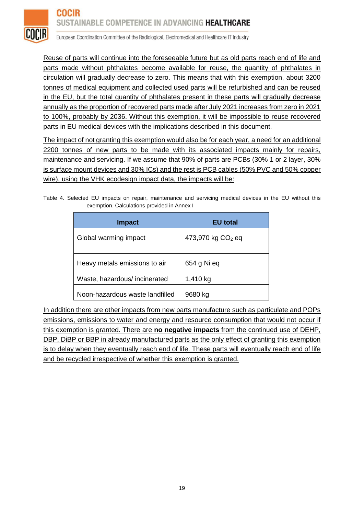

Reuse of parts will continue into the foreseeable future but as old parts reach end of life and parts made without phthalates become available for reuse, the quantity of phthalates in circulation will gradually decrease to zero. This means that with this exemption, about 3200 tonnes of medical equipment and collected used parts will be refurbished and can be reused in the EU, but the total quantity of phthalates present in these parts will gradually decrease annually as the proportion of recovered parts made after July 2021 increases from zero in 2021 to 100%, probably by 2036. Without this exemption, it will be impossible to reuse recovered parts in EU medical devices with the implications described in this document.

The impact of not granting this exemption would also be for each year, a need for an additional 2200 tonnes of new parts to be made with its associated impacts mainly for repairs, maintenance and servicing. If we assume that 90% of parts are PCBs (30% 1 or 2 layer, 30% is surface mount devices and 30% ICs) and the rest is PCB cables (50% PVC and 50% copper wire), using the VHK ecodesign impact data, the impacts will be:

Table 4. Selected EU impacts on repair, maintenance and servicing medical devices in the EU without this exemption. Calculations provided in Annex I

| <b>Impact</b>                   | <b>EU</b> total               |  |
|---------------------------------|-------------------------------|--|
| Global warming impact           | 473,970 kg CO <sub>2</sub> eq |  |
| Heavy metals emissions to air   | 654 g Ni eq                   |  |
| Waste, hazardous/incinerated    | 1,410 kg                      |  |
| Noon-hazardous waste landfilled | 9680 kg                       |  |

In addition there are other impacts from new parts manufacture such as particulate and POPs emissions, emissions to water and energy and resource consumption that would not occur if this exemption is granted. There are **no negative impacts** from the continued use of DEHP, DBP, DiBP or BBP in already manufactured parts as the only effect of granting this exemption is to delay when they eventually reach end of life. These parts will eventually reach end of life and be recycled irrespective of whether this exemption is granted.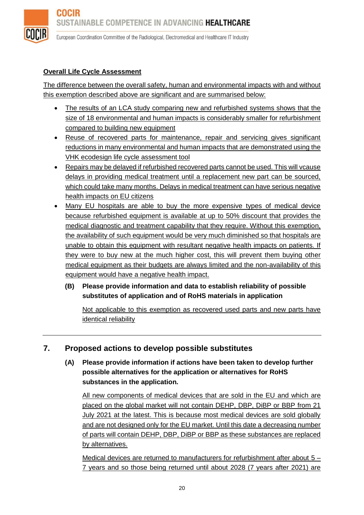

#### **Overall Life Cycle Assessment**

The difference between the overall safety, human and environmental impacts with and without this exemption described above are significant and are summarised below:

- The results of an LCA study comparing new and refurbished systems shows that the size of 18 environmental and human impacts is considerably smaller for refurbishment compared to building new equipment
- Reuse of recovered parts for maintenance, repair and servicing gives significant reductions in many environmental and human impacts that are demonstrated using the VHK ecodesign life cycle assessment tool
- Repairs may be delayed if refurbished recovered parts cannot be used. This will vcause delays in providing medical treatment until a replacement new part can be sourced, which could take many months. Delays in medical treatment can have serious negative health impacts on EU citizens
- Many EU hospitals are able to buy the more expensive types of medical device because refurbished equipment is available at up to 50% discount that provides the medical diagnostic and treatment capability that they require. Without this exemption, the availability of such equipment would be very much diminished so that hospitals are unable to obtain this equipment with resultant negative health impacts on patients. If they were to buy new at the much higher cost, this will prevent them buying other medical equipment as their budgets are always limited and the non-availability of this equipment would have a negative health impact.
	- **(B) Please provide information and data to establish reliability of possible substitutes of application and of RoHS materials in application**

Not applicable to this exemption as recovered used parts and new parts have identical reliability

# **7. Proposed actions to develop possible substitutes**

**(A) Please provide information if actions have been taken to develop further possible alternatives for the application or alternatives for RoHS substances in the application.** 

All new components of medical devices that are sold in the EU and which are placed on the global market will not contain DEHP, DBP, DiBP or BBP from 21 July 2021 at the latest. This is because most medical devices are sold globally and are not designed only for the EU market. Until this date a decreasing number of parts will contain DEHP, DBP, DiBP or BBP as these substances are replaced by alternatives.

Medical devices are returned to manufacturers for refurbishment after about 5 – 7 years and so those being returned until about 2028 (7 years after 2021) are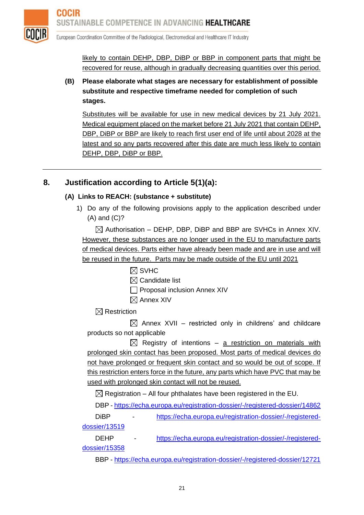

likely to contain DEHP, DBP, DiBP or BBP in component parts that might be recovered for reuse, although in gradually decreasing quantities over this period.

**(B) Please elaborate what stages are necessary for establishment of possible substitute and respective timeframe needed for completion of such stages.**

Substitutes will be available for use in new medical devices by 21 July 2021. Medical equipment placed on the market before 21 July 2021 that contain DEHP, DBP, DiBP or BBP are likely to reach first user end of life until about 2028 at the latest and so any parts recovered after this date are much less likely to contain DEHP, DBP, DiBP or BBP.

# **8. Justification according to Article 5(1)(a):**

### **(A) Links to REACH: (substance + substitute)**

1) Do any of the following provisions apply to the application described under (A) and (C)?

 $\boxtimes$  Authorisation – DEHP, DBP, DiBP and BBP are SVHCs in Annex XIV. However, these substances are no longer used in the EU to manufacture parts of medical devices. Parts either have already been made and are in use and will be reused in the future. Parts may be made outside of the EU until 2021

- $\boxtimes$  SVHC
- $\boxtimes$  Candidate list
- **Proposal inclusion Annex XIV**
- $\boxtimes$  Annex XIV

 $\boxtimes$  Restriction

 $\boxtimes$  Annex XVII – restricted only in childrens' and childcare products so not applicable

 $\boxtimes$  Registry of intentions – a restriction on materials with prolonged skin contact has been proposed. Most parts of medical devices do not have prolonged or frequent skin contact and so would be out of scope. If this restriction enters force in the future, any parts which have PVC that may be used with prolonged skin contact will not be reused.

 $\boxtimes$  Registration – All four phthalates have been registered in the EU.

DBP - <https://echa.europa.eu/registration-dossier/-/registered-dossier/14862>

DiBP - [https://echa.europa.eu/registration-dossier/-/registered](https://echa.europa.eu/registration-dossier/-/registered-dossier/13519)[dossier/13519](https://echa.europa.eu/registration-dossier/-/registered-dossier/13519)

DEHP - [https://echa.europa.eu/registration-dossier/-/registered](https://echa.europa.eu/registration-dossier/-/registered-dossier/15358)[dossier/15358](https://echa.europa.eu/registration-dossier/-/registered-dossier/15358)

BBP - <https://echa.europa.eu/registration-dossier/-/registered-dossier/12721>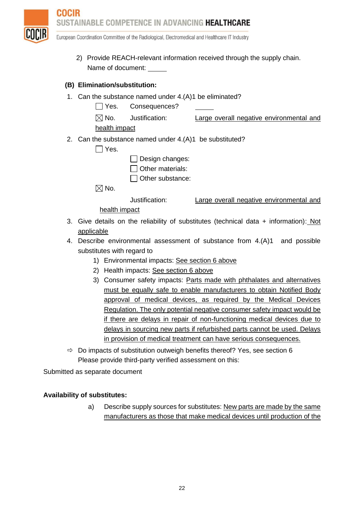

2) Provide REACH-relevant information received through the supply chain. Name of document:

#### **(B) Elimination/substitution:**

- 1. Can the substance named under 4.(A)1 be eliminated?
	- Yes. Consequences?
	- $\boxtimes$  No. Justification: Large overall negative environmental and

health impact

- 2. Can the substance named under 4.(A)1 be substituted?
	- $\Box$  Yes.
- $\Box$  Design changes:
- $\Box$  Other materials:
- $\Box$  Other substance:

 $\boxtimes$  No.

Justification: Large overall negative environmental and

health impact

- 3. Give details on the reliability of substitutes (technical data + information): Not applicable
- 4. Describe environmental assessment of substance from 4.(A)1 and possible substitutes with regard to
	- 1) Environmental impacts: See section 6 above
	- 2) Health impacts: See section 6 above
	- 3) Consumer safety impacts: Parts made with phthalates and alternatives must be equally safe to enable manufacturers to obtain Notified Body approval of medical devices, as required by the Medical Devices Regulation. The only potential negative consumer safety impact would be if there are delays in repair of non-functioning medical devices due to delays in sourcing new parts if refurbished parts cannot be used. Delays in provision of medical treatment can have serious consequences.
- $\Rightarrow$  Do impacts of substitution outweigh benefits thereof? Yes, see section 6 Please provide third-party verified assessment on this:

Submitted as separate document

#### **Availability of substitutes:**

a) Describe supply sources for substitutes: New parts are made by the same manufacturers as those that make medical devices until production of the